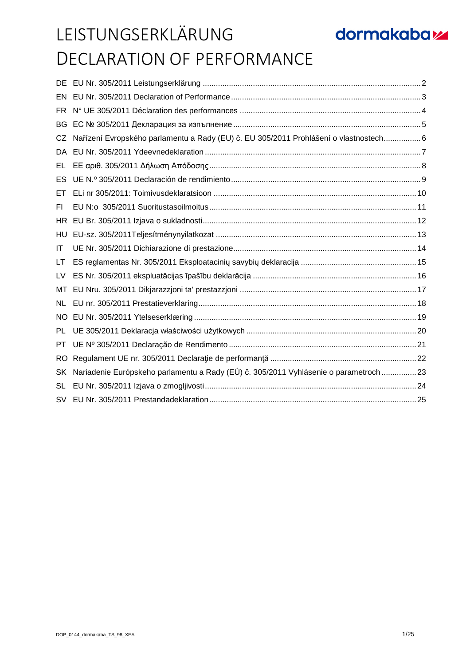### LEISTUNGSERKLÄRUNG dormakabaz DECLARATION OF PERFORMANCE

| EN        |                                                                                       |  |
|-----------|---------------------------------------------------------------------------------------|--|
| FR.       |                                                                                       |  |
| BG.       |                                                                                       |  |
| CZ        | Nařízení Evropského parlamentu a Rady (EU) č. EU 305/2011 Prohlášení o vlastnostech 6 |  |
| DA        |                                                                                       |  |
| EL        |                                                                                       |  |
| ES        |                                                                                       |  |
| EТ        |                                                                                       |  |
| FI        |                                                                                       |  |
|           |                                                                                       |  |
| HU        |                                                                                       |  |
| ΙT        |                                                                                       |  |
| LT        |                                                                                       |  |
| LV        |                                                                                       |  |
| MT        |                                                                                       |  |
| NL        |                                                                                       |  |
| NO.       |                                                                                       |  |
| PL        |                                                                                       |  |
| PT        |                                                                                       |  |
| RO.       |                                                                                       |  |
| <b>SK</b> | Nariadenie Európskeho parlamentu a Rady (EÚ) č. 305/2011 Vyhlásenie o parametroch 23  |  |
| SL        |                                                                                       |  |
| SV l      |                                                                                       |  |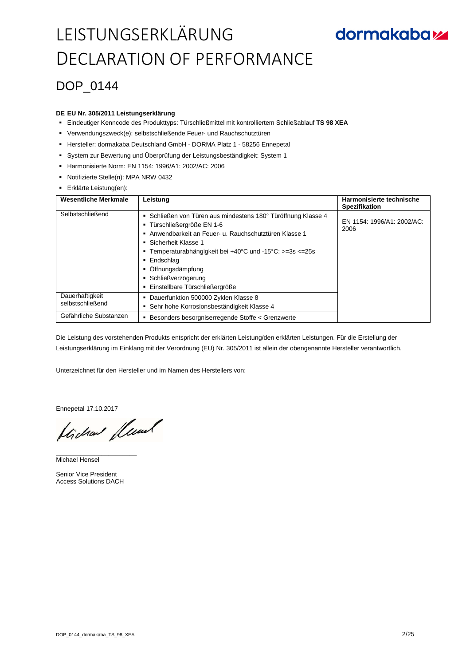### DOP\_0144

#### **DE EU Nr. 305/2011 Leistungserklärung**

- Eindeutiger Kenncode des Produkttyps: Türschließmittel mit kontrolliertem Schließablauf **TS 98 XEA**
- Verwendungszweck(e): selbstschließende Feuer- und Rauchschutztüren
- Hersteller: dormakaba Deutschland GmbH DORMA Platz 1 58256 Ennepetal
- System zur Bewertung und Überprüfung der Leistungsbeständigkeit: System 1
- Harmonisierte Norm: EN 1154: 1996/A1: 2002/AC: 2006
- Notifizierte Stelle(n): MPA NRW 0432
- **Erklärte Leistung(en):**

| <b>Wesentliche Merkmale</b>         | Leistung                                                                                                                                                                                                                                                                                                                                       | Harmonisierte technische<br><b>Spezifikation</b> |
|-------------------------------------|------------------------------------------------------------------------------------------------------------------------------------------------------------------------------------------------------------------------------------------------------------------------------------------------------------------------------------------------|--------------------------------------------------|
| Selbstschließend                    | • Schließen von Türen aus mindestens 180° Türöffnung Klasse 4<br>■ Türschließergröße EN 1-6<br>Anwendbarkeit an Feuer- u. Rauchschutztüren Klasse 1<br>■ Sicherheit Klasse 1<br><b>Temperaturabhängigkeit bei +40°C und -15°C: &gt;=3s &lt;=25s</b><br>Endschlag<br>Öffnungsdämpfung<br>• Schließverzögerung<br>Einstellbare Türschließergröße | EN 1154: 1996/A1: 2002/AC:<br>2006               |
| Dauerhaftigkeit<br>selbstschließend | Dauerfunktion 500000 Zyklen Klasse 8<br>٠<br>Sehr hohe Korrosionsbeständigkeit Klasse 4                                                                                                                                                                                                                                                        |                                                  |
| Gefährliche Substanzen              | Besonders besorgniserregende Stoffe < Grenzwerte                                                                                                                                                                                                                                                                                               |                                                  |

Die Leistung des vorstehenden Produkts entspricht der erklärten Leistung/den erklärten Leistungen. Für die Erstellung der Leistungserklärung im Einklang mit der Verordnung (EU) Nr. 305/2011 ist allein der obengenannte Hersteller verantwortlich.

Unterzeichnet für den Hersteller und im Namen des Herstellers von:

Ennepetal 17.10.2017

Kirchan fleund

 $\_$ Michael Hensel

Senior Vice President Access Solutions DACH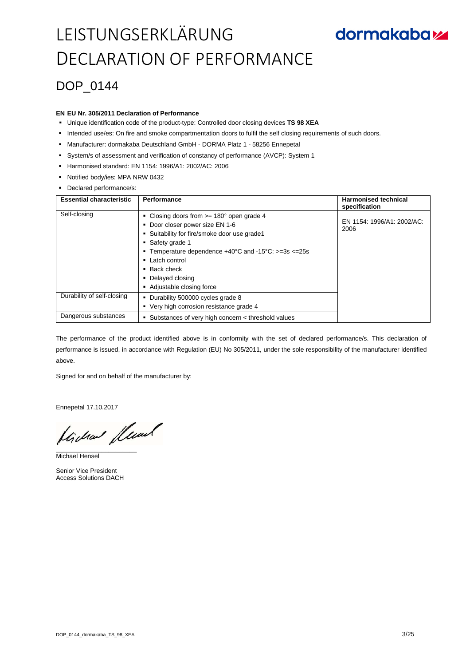### DOP 0144

#### **EN EU Nr. 305/2011 Declaration of Performance**

- Unique identification code of the product-type: Controlled door closing devices **TS 98 XEA**
- Intended use/es: On fire and smoke compartmentation doors to fulfil the self closing requirements of such doors.
- Manufacturer: dormakaba Deutschland GmbH DORMA Platz 1 58256 Ennepetal
- System/s of assessment and verification of constancy of performance (AVCP): System 1
- Harmonised standard: EN 1154: 1996/A1: 2002/AC: 2006
- Notified body/ies: MPA NRW 0432
- Declared performance/s:

| <b>Essential characteristic</b> | Performance                                                                                                                                                                                                                                                                                                               | <b>Harmonised technical</b><br>specification |
|---------------------------------|---------------------------------------------------------------------------------------------------------------------------------------------------------------------------------------------------------------------------------------------------------------------------------------------------------------------------|----------------------------------------------|
| Self-closing                    | Closing doors from $>= 180^\circ$ open grade 4<br>• Door closer power size EN 1-6<br>• Suitability for fire/smoke door use grade1<br>• Safety grade 1<br><b>Temperature dependence +40°C and -15°C: &gt;=3s &lt;=25s</b><br>$\blacksquare$ Latch control<br>Back check<br>• Delayed closing<br>• Adjustable closing force | EN 1154: 1996/A1: 2002/AC:<br>2006           |
| Durability of self-closing      | Durability 500000 cycles grade 8<br>• Very high corrosion resistance grade 4                                                                                                                                                                                                                                              |                                              |
| Dangerous substances            | • Substances of very high concern < threshold values                                                                                                                                                                                                                                                                      |                                              |

The performance of the product identified above is in conformity with the set of declared performance/s. This declaration of performance is issued, in accordance with Regulation (EU) No 305/2011, under the sole responsibility of the manufacturer identified above.

Signed for and on behalf of the manufacturer by:

Ennepetal 17.10.2017

flichen fleund

Michael Hensel

Senior Vice President Access Solutions DACH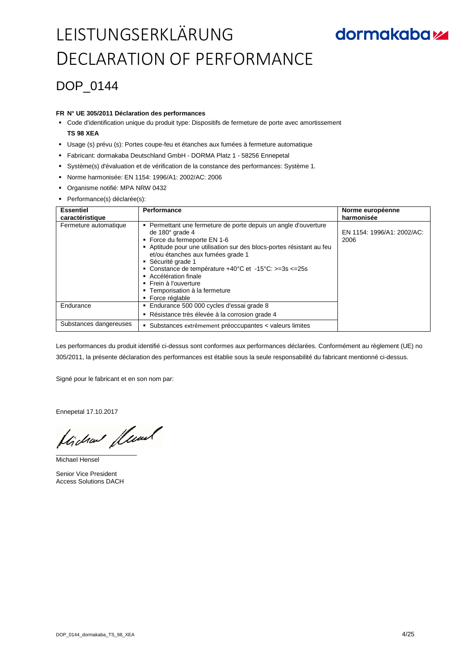## **dormakabazz**

### DOP\_0144

#### **FR N° UE 305/2011 Déclaration des performances**

- Code d'identification unique du produit type: Dispositifs de fermeture de porte avec amortissement **TS 98 XEA**
- Usage (s) prévu (s): Portes coupe-feu et étanches aux fumées à fermeture automatique
- Fabricant: dormakaba Deutschland GmbH DORMA Platz 1 58256 Ennepetal
- Système(s) d'évaluation et de vérification de la constance des performances: Système 1.
- Norme harmonisée: EN 1154: 1996/A1: 2002/AC: 2006
- Organisme notifié: MPA NRW 0432
- Performance(s) déclarée(s):

| <b>Essentiel</b><br>caractéristique | Performance                                                                                                                                                                                                                                                                                                                                                                                                                                          | Norme européenne<br>harmonisée     |
|-------------------------------------|------------------------------------------------------------------------------------------------------------------------------------------------------------------------------------------------------------------------------------------------------------------------------------------------------------------------------------------------------------------------------------------------------------------------------------------------------|------------------------------------|
| Fermeture automatique               | Permettant une fermeture de porte depuis un angle d'ouverture<br>٠<br>de $180^\circ$ grade 4<br>■ Force du fermeporte EN 1-6<br>- Aptitude pour une utilisation sur des blocs-portes résistant au feu<br>et/ou étanches aux fumées grade 1<br>• Sécurité grade 1<br>• Constance de température $+40^{\circ}$ C et $-15^{\circ}$ C: $>=3s<=25s$<br>Accélération finale<br>• Frein à l'ouverture<br>• Temporisation à la fermeture<br>• Force réglable | EN 1154: 1996/A1: 2002/AC:<br>2006 |
| Endurance                           | Endurance 500 000 cycles d'essai grade 8<br>- Résistance très élevée à la corrosion grade 4                                                                                                                                                                                                                                                                                                                                                          |                                    |
| Substances dangereuses              | • Substances extrêmement préoccupantes < valeurs limites                                                                                                                                                                                                                                                                                                                                                                                             |                                    |

Les performances du produit identifié ci-dessus sont conformes aux performances déclarées. Conformément au règlement (UE) no 305/2011, la présente déclaration des performances est établie sous la seule responsabilité du fabricant mentionné ci-dessus.

Signé pour le fabricant et en son nom par:

Ennepetal 17.10.2017

flichen fleund

Michael Hensel

Senior Vice President Access Solutions DACH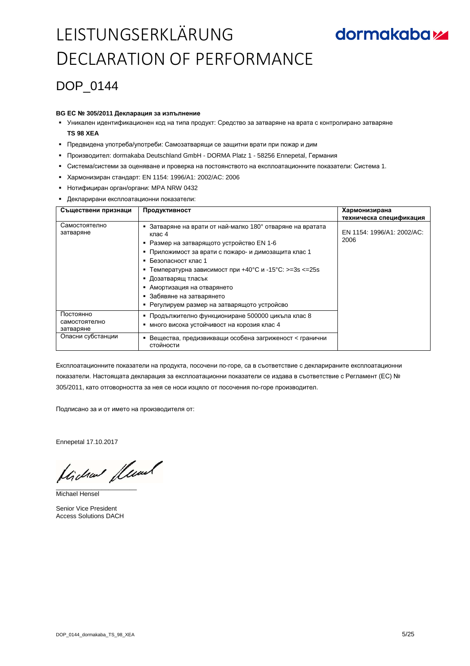### DOP 0144

#### **BG ЕС № 305/2011 Декларация за изпълнение**

- Уникален идентификационен код на типа продукт: Средство за затваряне на врата с контролирано затваряне **TS 98 XEA**
- Предвидена употреба/употреби: Самозатварящи се защитни врати при пожар и дим
- Производител: dormakaba Deutschland GmbH DORMA Platz 1 58256 Ennepetal, Германия
- Система/системи за оценяване и проверка на постоянството на експлоатационните показатели: Система 1.
- Хармонизиран стандарт: EN 1154: 1996/A1: 2002/AC: 2006
- **-** Нотифициран орган/органи: MPA NRW 0432
- Декларирани експлоатационни показатели:

| Съществени признаци                     | Продуктивност                                                                                                                                                                                                                                                                                                                                                                                 | Хармонизирана<br>техническа спецификация |
|-----------------------------------------|-----------------------------------------------------------------------------------------------------------------------------------------------------------------------------------------------------------------------------------------------------------------------------------------------------------------------------------------------------------------------------------------------|------------------------------------------|
| Самостоятелно<br>затваряне              | • Затваряне на врати от най-малко 180° отваряне на вратата<br>клас 4<br>Размер на затварящото устройство EN 1-6<br>• Приложимост за врати с пожаро- и димозащита клас 1<br>• Безопасност клас 1<br>• Температурна зависимост при +40°С и -15°С: >=3s <=25s<br>▪ Дозатварящ тласък<br>• Амортизация на отварянето<br>• Забявяне на затварянето<br>• Регулируем размер на затварящото устройсво | EN 1154: 1996/A1: 2002/AC:<br>2006       |
| Постоянно<br>самостоятелно<br>затваряне | • Продължително функциониране 500000 цикъла клас 8<br>много висока устойчивост на корозия клас 4                                                                                                                                                                                                                                                                                              |                                          |
| Опасни субстанции                       | Вещества, предизвикващи особена загриженост < гранични<br>стойности                                                                                                                                                                                                                                                                                                                           |                                          |

Експлоатационните показатели на продукта, посочени по-горе, са в съответствие с декларираните експлоатационни показатели. Настоящата декларация за експлоатационни показатели се издава в съответствие с Регламент (ЕС) № 305/2011, като отговорността за нея се носи изцяло от посочения по-горе производител.

Подписано за и от името на производителя от:

Ennepetal 17.10.2017

 $\overline{\phantom{a}}$  , and the set of the set of the set of the set of the set of the set of the set of the set of the set of the set of the set of the set of the set of the set of the set of the set of the set of the set of the s

Michael Hensel

Senior Vice President Access Solutions DACH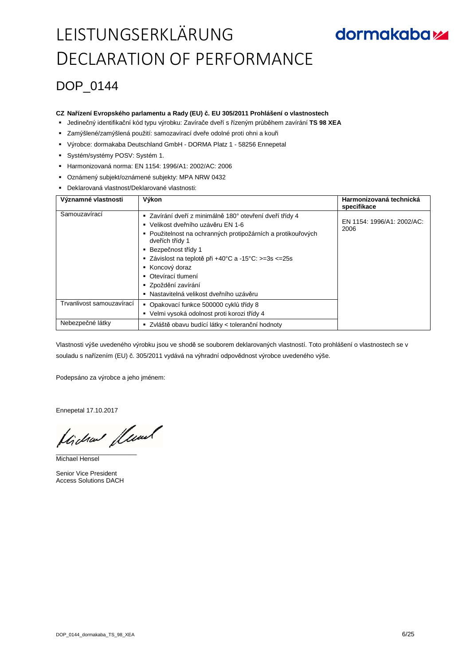## **dormakabazz**

### DOP\_0144

#### **CZ Nařízení Evropského parlamentu a Rady (EU) č. EU 305/2011 Prohlášení o vlastnostech**

- Jedinečný identifikační kód typu výrobku: Zavírače dveří s řízeným průběhem zavírání **TS 98 XEA**
- Zamýšlené/zamýšlená použití: samozavírací dveře odolné proti ohni a kouři
- Výrobce: dormakaba Deutschland GmbH DORMA Platz 1 58256 Ennepetal
- Systém/systémy POSV: Systém 1.
- Harmonizovaná norma: EN 1154: 1996/A1: 2002/AC: 2006
- Oznámený subjekt/oznámené subjekty: MPA NRW 0432
- Deklarovaná vlastnost/Deklarované vlastnosti:

| Významné vlastnosti       | Výkon                                                                                                                                                                                                                                                                                                                                                                              | Harmonizovaná technická<br>specifikace |
|---------------------------|------------------------------------------------------------------------------------------------------------------------------------------------------------------------------------------------------------------------------------------------------------------------------------------------------------------------------------------------------------------------------------|----------------------------------------|
| Samouzavírací             | · Zavírání dveří z minimálně 180° otevření dveří třídy 4<br>■ Velikost dveřního uzávěru EN 1-6<br>· Použitelnost na ochranných protipožárních a protikouřových<br>dveřích třídy 1<br>Bezpečnost třídy 1<br>٠<br>■ Závislost na teplotě při +40°C a -15°C: >=3s <=25s<br>Koncový doraz<br>• Otevírací tlumení<br>· Zpoždění zavírání<br>Nastavitelná velikost dveřního uzávěru<br>٠ | EN 1154: 1996/A1: 2002/AC:<br>2006     |
| Trvanlivost samouzavírací | • Opakovací funkce 500000 cyklů třídy 8<br>· Velmi vysoká odolnost proti korozi třídy 4                                                                                                                                                                                                                                                                                            |                                        |
| Nebezpečné látky          | ■ Zvláště obavu budící látky < toleranční hodnoty                                                                                                                                                                                                                                                                                                                                  |                                        |

Vlastnosti výše uvedeného výrobku jsou ve shodě se souborem deklarovaných vlastností. Toto prohlášení o vlastnostech se v souladu s nařízením (EU) č. 305/2011 vydává na výhradní odpovědnost výrobce uvedeného výše.

Podepsáno za výrobce a jeho jménem:

Ennepetal 17.10.2017

flichen fleund

Michael Hensel

Senior Vice President Access Solutions DACH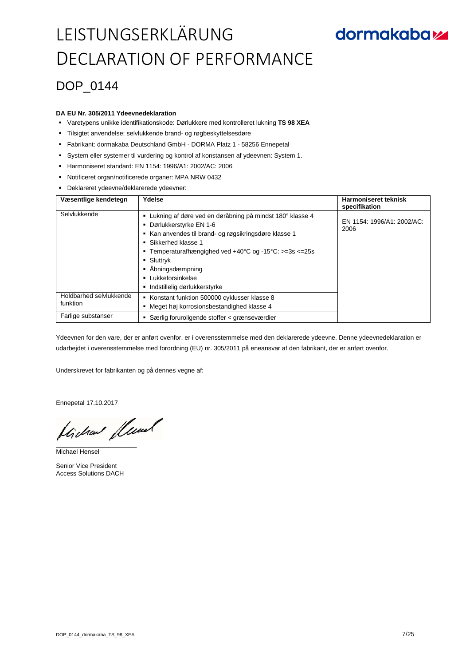## **dormakabazz**

### DOP 0144

#### **DA EU Nr. 305/2011 Ydeevnedeklaration**

- Varetypens unikke identifikationskode: Dørlukkere med kontrolleret lukning **TS 98 XEA**
- Tilsigtet anvendelse: selvlukkende brand- og røgbeskyttelsesdøre
- Fabrikant: dormakaba Deutschland GmbH DORMA Platz 1 58256 Ennepetal
- System eller systemer til vurdering og kontrol af konstansen af ydeevnen: System 1.
- Harmoniseret standard: EN 1154: 1996/A1: 2002/AC: 2006
- Notificeret organ/notificerede organer: MPA NRW 0432
- Deklareret ydeevne/deklarerede ydeevner:

| Væsentlige kendetegn                | Ydelse                                                                                                                                                                                                                                                                                                                                         | <b>Harmoniseret teknisk</b><br>specifikation |
|-------------------------------------|------------------------------------------------------------------------------------------------------------------------------------------------------------------------------------------------------------------------------------------------------------------------------------------------------------------------------------------------|----------------------------------------------|
| Selvlukkende                        | Lukning af døre ved en døråbning på mindst 180° klasse 4<br>• Dørlukkerstyrke EN 1-6<br>Kan anvendes til brand- og røgsikringsdøre klasse 1<br>■ Sikkerhed klasse 1<br><b>Temperaturafhængighed ved +40°C og -15°C: &gt;=3s &lt;=25s</b><br>$\blacksquare$ Sluttryk<br>• Åbningsdæmpning<br>■ Lukkeforsinkelse<br>Indstillelig dørlukkerstyrke | EN 1154: 1996/A1: 2002/AC:<br>2006           |
| Holdbarhed selvlukkende<br>funktion | Konstant funktion 500000 cyklusser klasse 8<br>Meget høj korrosionsbestandighed klasse 4                                                                                                                                                                                                                                                       |                                              |
| Farlige substanser                  | Særlig foruroligende stoffer < grænseværdier                                                                                                                                                                                                                                                                                                   |                                              |

Ydeevnen for den vare, der er anført ovenfor, er i overensstemmelse med den deklarerede ydeevne. Denne ydeevnedeklaration er udarbejdet i overensstemmelse med forordning (EU) nr. 305/2011 på eneansvar af den fabrikant, der er anført ovenfor.

Underskrevet for fabrikanten og på dennes vegne af:

Ennepetal 17.10.2017

flichen fleund

Michael Hensel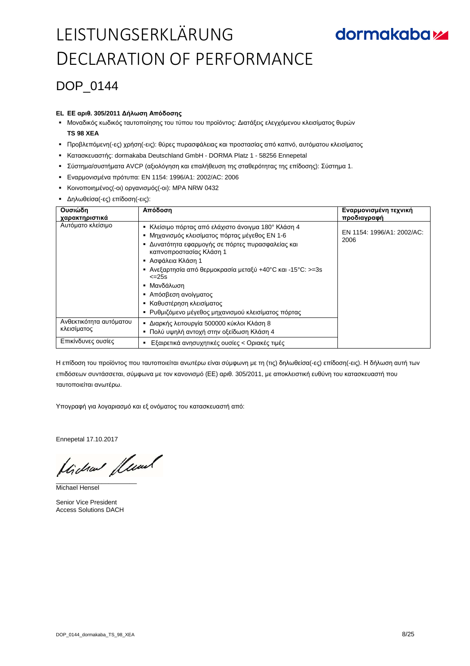### DOP 0144

#### **EL ΕΕ αριθ. 305/2011 Δήλωση Απόδοσης**

- Μοναδικός κωδικός ταυτοποίησης του τύπου του προϊόντος: Διατάξεις ελεγχόμενου κλεισίματος θυρών **TS 98 XEA**
- Προβλεπόμενη(-ες) χρήση(-εις): θύρες πυρασφάλειας και προστασίας από καπνό, αυτόματου κλεισίματος
- Κατασκευαστής: dormakaba Deutschland GmbH DORMA Platz 1 58256 Ennepetal
- Σύστημα/συστήματα AVCP (αξιολόγηση και επαλήθευση της σταθερότητας της επίδοσης): Σύστημα 1.
- Εναρμονισμένα πρότυπα: EN 1154: 1996/A1: 2002/AC: 2006
- Κοινοποιημένος(-οι) οργανισμός(-οι): MPA NRW 0432
- Δηλωθείσα(-ες) επίδοση(-εις):

| Ουσιώδη<br>χαρακτηριστικά              | Απόδοση                                                                                                                                                                                                                                                                                                                                                                                                                    | Εναρμονισμένη τεχνική<br>προδιαγραφή |
|----------------------------------------|----------------------------------------------------------------------------------------------------------------------------------------------------------------------------------------------------------------------------------------------------------------------------------------------------------------------------------------------------------------------------------------------------------------------------|--------------------------------------|
| Αυτόματο κλείσιμο                      | ▪ Κλείσιμο πόρτας από ελάχιστο άνοιγμα 180° Κλάση 4<br>Μηχανισμός κλεισίματος πόρτας μέγεθος EN 1-6<br>٠<br>Δυνατότητα εφαρμογής σε πόρτες πυρασφαλείας και<br>٠<br>καπνοπροστασίας Κλάση 1<br>▪ Ασφάλεια Κλάση 1<br>■ Ανεξαρτησία από θερμοκρασία μεταξύ +40°C και -15°C: >=3s<br>$\leq$ 25s<br>Μανδάλωση<br>٠<br>■ Απόσβεση ανοίγματος<br>▪ Καθυστέρηση κλεισίματος<br>Ρυθμιζόμενο μέγεθος μηχανισμού κλεισίματος πόρτας | EN 1154: 1996/A1: 2002/AC:<br>2006   |
| Ανθεκτικότητα αυτόματου<br>κλεισίματος | ■ Διαρκής λειτουργία 500000 κύκλοι Κλάση 8<br>Πολύ υψηλή αντοχή στην οξείδωση Κλάση 4<br>٠                                                                                                                                                                                                                                                                                                                                 |                                      |
| Επικίνδυνες ουσίες                     | Εξαιρετικά ανησυχητικές ουσίες < Οριακές τιμές<br>٠                                                                                                                                                                                                                                                                                                                                                                        |                                      |

Η επίδοση του προϊόντος που ταυτοποιείται ανωτέρω είναι σύμφωνη με τη (τις) δηλωθείσα(-ες) επίδοση(-εις). Η δήλωση αυτή των επιδόσεων συντάσσεται, σύμφωνα με τον κανονισμό (ΕΕ) αριθ. 305/2011, με αποκλειστική ευθύνη του κατασκευαστή που ταυτοποιείται ανωτέρω.

Υπογραφή για λογαριασμό και εξ ονόματος του κατασκευαστή από:

Ennepetal 17.10.2017

Uicha fluat

Michael Hensel

Senior Vice President Access Solutions DACH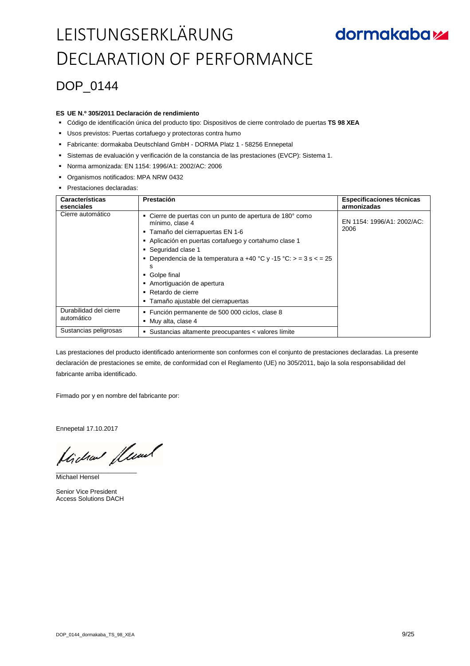### DOP\_0144

#### **ES UE N.º 305/2011 Declaración de rendimiento**

- Código de identificación única del producto tipo: Dispositivos de cierre controlado de puertas **TS 98 XEA**
- Usos previstos: Puertas cortafuego y protectoras contra humo
- Fabricante: dormakaba Deutschland GmbH DORMA Platz 1 58256 Ennepetal
- Sistemas de evaluación y verificación de la constancia de las prestaciones (EVCP): Sistema 1.
- Norma armonizada: EN 1154: 1996/A1: 2002/AC: 2006
- Organismos notificados: MPA NRW 0432
- **Prestaciones declaradas:**

| Características<br>esenciales        | Prestación                                                                                                                                                                                                             | <b>Especificaciones técnicas</b><br>armonizadas |
|--------------------------------------|------------------------------------------------------------------------------------------------------------------------------------------------------------------------------------------------------------------------|-------------------------------------------------|
| Cierre automático                    | • Cierre de puertas con un punto de apertura de 180° como<br>mínimo, clase 4<br>- Tamaño del cierrapuertas EN 1-6<br>Aplicación en puertas cortafuego y cortahumo clase 1                                              | EN 1154: 1996/A1: 2002/AC:<br>2006              |
|                                      | • Sequridad clase 1<br><b>•</b> Dependencia de la temperatura a +40 °C y -15 °C: $>$ = 3 s < = 25<br>s<br>• Golpe final<br>Amortiquación de apertura<br>■ Retardo de cierre<br>Tamaño ajustable del cierrapuertas<br>٠ |                                                 |
| Durabilidad del cierre<br>automático | " Función permanente de 500 000 ciclos, clase 8<br>• Muy alta, clase 4                                                                                                                                                 |                                                 |
| Sustancias peligrosas                | Sustancias altamente preocupantes < valores límite<br>٠                                                                                                                                                                |                                                 |

Las prestaciones del producto identificado anteriormente son conformes con el conjunto de prestaciones declaradas. La presente declaración de prestaciones se emite, de conformidad con el Reglamento (UE) no 305/2011, bajo la sola responsabilidad del fabricante arriba identificado.

Firmado por y en nombre del fabricante por:

Ennepetal 17.10.2017

flichen fleund

Michael Hensel

Senior Vice President Access Solutions DACH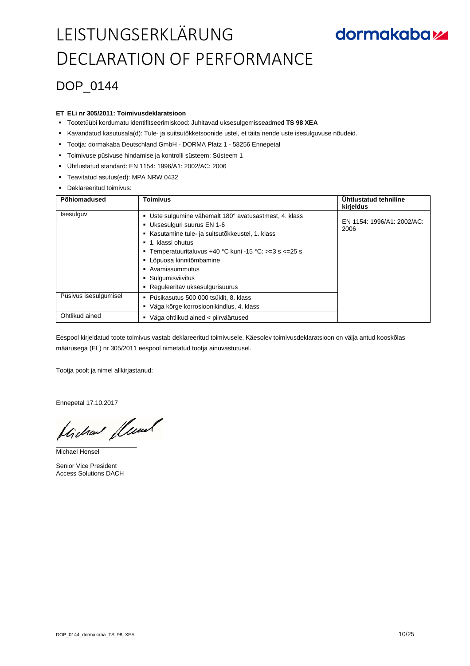### DOP\_0144

#### **ET ELi nr 305/2011: Toimivusdeklaratsioon**

- Tootetüübi kordumatu identifitseerimiskood: Juhitavad uksesulgemisseadmed **TS 98 XEA**
- Kavandatud kasutusala(d): Tule- ja suitsutõkketsoonide ustel, et täita nende uste isesulguvuse nõudeid.
- Tootja: dormakaba Deutschland GmbH DORMA Platz 1 58256 Ennepetal
- Toimivuse püsivuse hindamise ja kontrolli süsteem: Süsteem 1
- Ühtlustatud standard: EN 1154: 1996/A1: 2002/AC: 2006
- Teavitatud asutus(ed): MPA NRW 0432
- **Deklareeritud toimivus:**

| Põhiomadused          | <b>Toimivus</b>                                                                                                                                                                                                                                                                                                                        | Uhtlustatud tehniline<br>kirjeldus |
|-----------------------|----------------------------------------------------------------------------------------------------------------------------------------------------------------------------------------------------------------------------------------------------------------------------------------------------------------------------------------|------------------------------------|
| Isesulguv             | Uste sulgumine vähemalt 180° avatusastmest, 4. klass<br>Uksesulguri suurus EN 1-6<br>Kasutamine tule- ja suitsutõkkeustel, 1. klass<br>■ 1. klassi ohutus<br><b>Temperatuuritaluvus +40 °C kuni -15 °C: &gt;=3 s &lt;=25 s</b><br>- Lõpuosa kinnitõmbamine<br>• Avamissummutus<br>• Sulgumisviivitus<br>Requleeritav uksesulgurisuurus | EN 1154: 1996/A1: 2002/AC:<br>2006 |
| Püsivus isesulgumisel | Püsikasutus 500 000 tsüklit, 8. klass<br>Väga kõrge korrosioonikindlus, 4. klass                                                                                                                                                                                                                                                       |                                    |
| Ohtlikud ained        | Väga ohtlikud ained < piirväärtused                                                                                                                                                                                                                                                                                                    |                                    |

Eespool kirjeldatud toote toimivus vastab deklareeritud toimivusele. Käesolev toimivusdeklaratsioon on välja antud kooskõlas määrusega (EL) nr 305/2011 eespool nimetatud tootja ainuvastutusel.

Tootja poolt ja nimel allkirjastanud:

Ennepetal 17.10.2017

flichen fleund

Michael Hensel

Senior Vice President Access Solutions DACH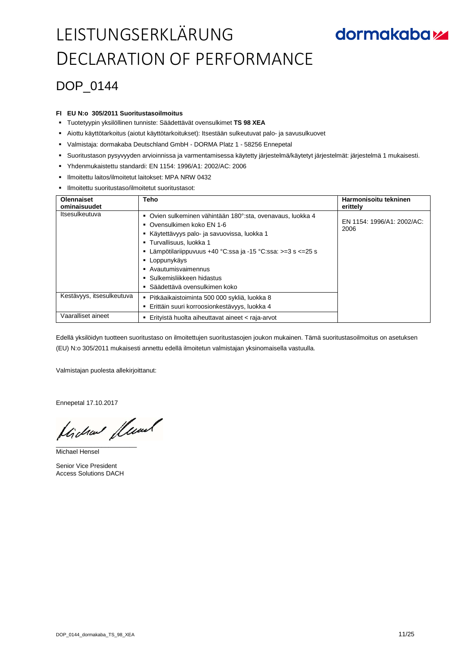## **dormakabazz**

### DOP\_0144

#### **FI EU N:o 305/2011 Suoritustasoilmoitus**

- Tuotetyypin yksilöllinen tunniste: Säädettävät ovensulkimet **TS 98 XEA**
- Aiottu käyttötarkoitus (aiotut käyttötarkoitukset): Itsestään sulkeutuvat palo- ja savusulkuovet
- Valmistaja: dormakaba Deutschland GmbH DORMA Platz 1 58256 Ennepetal
- Suoritustason pysyvyyden arvioinnissa ja varmentamisessa käytetty järjestelmä/käytetyt järjestelmät: järjestelmä 1 mukaisesti.
- Yhdenmukaistettu standardi: EN 1154: 1996/A1: 2002/AC: 2006
- Ilmoitettu laitos/ilmoitetut laitokset: MPA NRW 0432
- Ilmoitettu suoritustaso/ilmoitetut suoritustasot:

| <b>Olennaiset</b><br>ominaisuudet | Teho                                                                                                                                                                                                                                                                                                                                         | Harmonisoitu tekninen<br>erittely  |
|-----------------------------------|----------------------------------------------------------------------------------------------------------------------------------------------------------------------------------------------------------------------------------------------------------------------------------------------------------------------------------------------|------------------------------------|
| Itsesulkeutuva                    | • Ovien sulkeminen vähintään 180°:sta, ovenavaus, luokka 4<br>• Ovensulkimen koko EN 1-6<br>Käytettävyys palo- ja savuovissa, luokka 1<br>■ Turvallisuus, luokka 1<br>- Lämpötilariippuvuus +40 °C:ssa ja -15 °C:ssa: >=3 s <=25 s<br>• Loppunykäys<br>• Avautumisvaimennus<br>• Sulkemisliikkeen hidastus<br>■ Säädettävä ovensulkimen koko | EN 1154: 1996/A1: 2002/AC:<br>2006 |
| Kestävyys, itsesulkeutuva         | ■ Pitkäaikaistoiminta 500 000 sykliä, luokka 8<br>Erittäin suuri korroosionkestävyys, luokka 4<br>٠                                                                                                                                                                                                                                          |                                    |
| Vaaralliset aineet                | Erityistä huolta aiheuttavat aineet < raja-arvot                                                                                                                                                                                                                                                                                             |                                    |

Edellä yksilöidyn tuotteen suoritustaso on ilmoitettujen suoritustasojen joukon mukainen. Tämä suoritustasoilmoitus on asetuksen (EU) N:o 305/2011 mukaisesti annettu edellä ilmoitetun valmistajan yksinomaisella vastuulla.

Valmistajan puolesta allekirjoittanut:

Ennepetal 17.10.2017

flichen fleund

Michael Hensel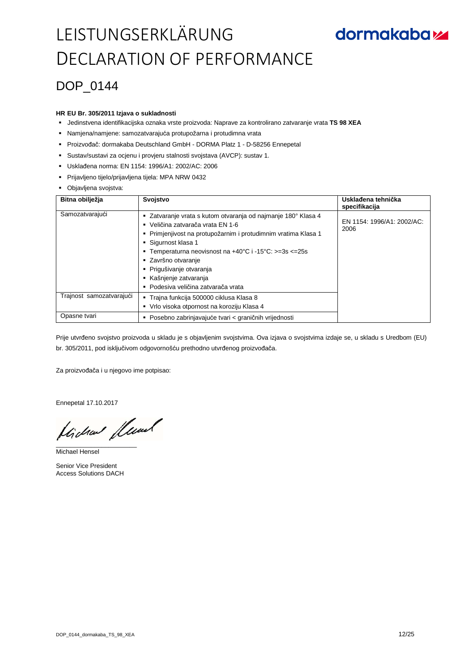### DOP 0144

#### **HR EU Br. 305/2011 Izjava o sukladnosti**

- Jedinstvena identifikacijska oznaka vrste proizvoda: Naprave za kontrolirano zatvaranje vrata **TS 98 XEA**
- Namjena/namjene: samozatvarajuća protupožarna i protudimna vrata
- Proizvođač: dormakaba Deutschland GmbH DORMA Platz 1 D-58256 Ennepetal
- Sustav/sustavi za ocjenu i provjeru stalnosti svojstava (AVCP): sustav 1.
- Usklađena norma: EN 1154: 1996/A1: 2002/AC: 2006
- Prijavljeno tijelo/prijavljena tijela: MPA NRW 0432
- Objavljena svojstva:

| Bitna obilježja          | Svojstvo                                                                                                                                                                                                                                                                                                                                                                           | Usklađena tehnička<br>specifikacija |
|--------------------------|------------------------------------------------------------------------------------------------------------------------------------------------------------------------------------------------------------------------------------------------------------------------------------------------------------------------------------------------------------------------------------|-------------------------------------|
| Samozatvarajući          | " Zatvaranje vrata s kutom otvaranja od najmanje 180° Klasa 4<br>■ Veličina zatvarača vrata EN 1-6<br>Primjenjivost na protupožarnim i protudimnim vratima Klasa 1<br>• Sigurnost klasa 1<br><b>Temperaturna neovisnost na +40 °C i -15 °C: &gt;=3s &lt;=25s</b><br>■ Završno otvaranje<br>• Prigušivanje otvaranja<br>Kašnjenje zatvaranja<br>• Podesiva veličina zatvarača vrata | EN 1154: 1996/A1: 2002/AC:<br>2006  |
| Trajnost samozatvarajući | ■ Trajna funkcija 500000 ciklusa Klasa 8<br>• Vrlo visoka otpornost na koroziju Klasa 4                                                                                                                                                                                                                                                                                            |                                     |
| Opasne tvari             | Posebno zabrinjavajuće tvari < graničnih vrijednosti<br>٠                                                                                                                                                                                                                                                                                                                          |                                     |

Prije utvrđeno svojstvo proizvoda u skladu je s objavljenim svojstvima. Ova izjava o svojstvima izdaje se, u skladu s Uredbom (EU) br. 305/2011, pod isključivom odgovornošću prethodno utvrđenog proizvođača.

Za proizvođača i u njegovo ime potpisao:

Ennepetal 17.10.2017

flichen fleund

Michael Hensel

Senior Vice President Access Solutions DACH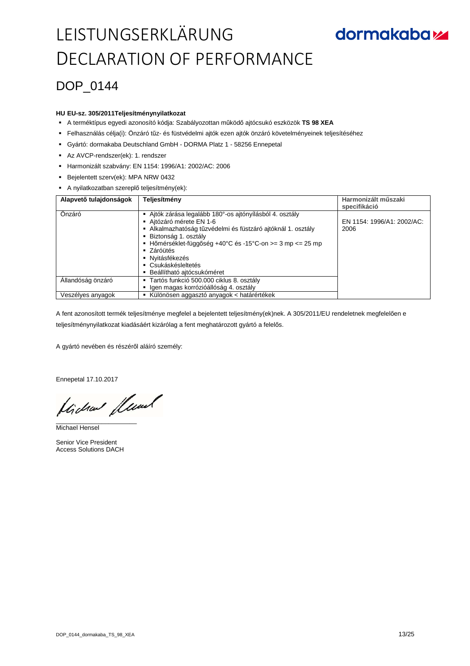### DOP\_0144

#### **HU EU-sz. 305/2011Teljesítménynyilatkozat**

- A terméktípus egyedi azonosító kódja: Szabályozottan működő ajtócsukó eszközök **TS 98 XEA**
- Felhasználás célja(i): Önzáró tűz- és füstvédelmi ajtók ezen ajtók önzáró követelményeinek teljesítéséhez
- Gyártó: dormakaba Deutschland GmbH DORMA Platz 1 58256 Ennepetal
- Az AVCP-rendszer(ek): 1. rendszer
- Harmonizált szabvány: EN 1154: 1996/A1: 2002/AC: 2006
- Bejelentett szerv(ek): MPA NRW 0432
- A nyilatkozatban szereplő teljesítmény(ek):

| Alapvető tulajdonságok | Teljesítmény                                                                                                                                                                                                                                                                                                                               | Harmonizált műszaki<br>specifikáció |
|------------------------|--------------------------------------------------------------------------------------------------------------------------------------------------------------------------------------------------------------------------------------------------------------------------------------------------------------------------------------------|-------------------------------------|
| Önzáró                 | Ajtók zárása legalább 180°-os ajtónyílásból 4. osztály<br>- Ajtózáró mérete EN 1-6<br>Alkalmazhatóság tűzvédelmi és füstzáró ajtóknál 1. osztály<br>- Biztonság 1. osztály<br>- Hőmérséklet-függőség +40°C és -15°C-on >= 3 mp <= 25 mp<br>$\blacksquare$ Záróütés<br>• Nyitásfékezés<br>• Csukáskésleltetés<br>Beállítható ajtócsukóméret | EN 1154: 1996/A1: 2002/AC:<br>2006  |
| Allandóság önzáró      | Tartós funkció 500.000 ciklus 8. osztály<br>٠<br>Igen magas korrózióállóság 4. osztály                                                                                                                                                                                                                                                     |                                     |
| Veszélyes anyagok      | Különösen aggasztó anyagok < határértékek                                                                                                                                                                                                                                                                                                  |                                     |

A fent azonosított termék teljesítménye megfelel a bejelentett teljesítmény(ek)nek. A 305/2011/EU rendeletnek megfelelően e teljesítménynyilatkozat kiadásáért kizárólag a fent meghatározott gyártó a felelős.

A gyártó nevében és részéről aláíró személy:

Ennepetal 17.10.2017

flichen fleund

Michael Hensel

Senior Vice President Access Solutions DACH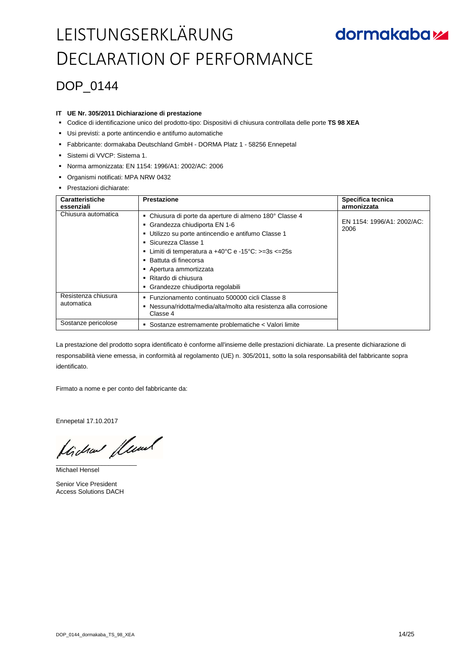### DOP 0144

#### **IT UE Nr. 305/2011 Dichiarazione di prestazione**

- Codice di identificazione unico del prodotto-tipo: Dispositivi di chiusura controllata delle porte **TS 98 XEA**
- Usi previsti: a porte antincendio e antifumo automatiche
- Fabbricante: dormakaba Deutschland GmbH DORMA Platz 1 58256 Ennepetal
- Sistemi di VVCP: Sistema 1.
- Norma armonizzata: EN 1154: 1996/A1: 2002/AC: 2006
- Organismi notificati: MPA NRW 0432
- **Prestazioni dichiarate:**

| Caratteristiche<br>essenziali     | <b>Prestazione</b>                                                                                                                                                                                                                                                                                                                            | Specifica tecnica<br>armonizzata   |
|-----------------------------------|-----------------------------------------------------------------------------------------------------------------------------------------------------------------------------------------------------------------------------------------------------------------------------------------------------------------------------------------------|------------------------------------|
| Chiusura automatica               | • Chiusura di porte da aperture di almeno 180° Classe 4<br>Grandezza chiudiporta EN 1-6<br>Utilizzo su porte antincendio e antifumo Classe 1<br>■ Sicurezza Classe 1<br>- Limiti di temperatura a +40°C e -15°C: >=3s <=25s<br>■ Battuta di finecorsa<br>Apertura ammortizzata<br>■ Ritardo di chiusura<br>• Grandezze chiudiporta regolabili | EN 1154: 1996/A1: 2002/AC:<br>2006 |
| Resistenza chiusura<br>automatica | ■ Funzionamento continuato 500000 cicli Classe 8<br>Nessuna/ridotta/media/alta/molto alta resistenza alla corrosione<br>٠<br>Classe 4                                                                                                                                                                                                         |                                    |
| Sostanze pericolose               | Sostanze estremamente problematiche < Valori limite                                                                                                                                                                                                                                                                                           |                                    |

La prestazione del prodotto sopra identificato è conforme all'insieme delle prestazioni dichiarate. La presente dichiarazione di responsabilità viene emessa, in conformità al regolamento (UE) n. 305/2011, sotto la sola responsabilità del fabbricante sopra identificato.

Firmato a nome e per conto del fabbricante da:

Ennepetal 17.10.2017

Lide fleut

Michael Hensel

Senior Vice President Access Solutions DACH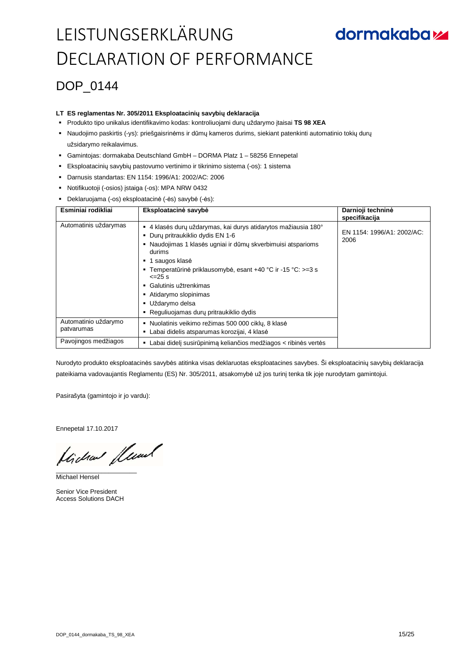### DOP 0144

#### **LT ES reglamentas Nr. 305/2011 Eksploatacinių savybių deklaracija**

- Produkto tipo unikalus identifikavimo kodas: kontroliuojami durų uždarymo įtaisai **TS 98 XEA**
- Naudojimo paskirtis (-ys): priešgaisrinėms ir dūmų kameros durims, siekiant patenkinti automatinio tokių durų užsidarymo reikalavimus.
- Gamintojas: dormakaba Deutschland GmbH DORMA Platz 1 58256 Ennepetal
- Eksploatacinių savybių pastovumo vertinimo ir tikrinimo sistema (-os): 1 sistema
- Darnusis standartas: EN 1154: 1996/A1: 2002/AC: 2006
- Notifikuotoji (-osios) įstaiga (-os): MPA NRW 0432
- Deklaruojama (-os) eksploatacinė (-ės) savybė (-ės):

| Esminiai rodikliai                 | Eksploatacinė savybė                                                                                                                                                                                                                                                                                                                                                                                         | Darnioji techninė<br>specifikacija |
|------------------------------------|--------------------------------------------------------------------------------------------------------------------------------------------------------------------------------------------------------------------------------------------------------------------------------------------------------------------------------------------------------------------------------------------------------------|------------------------------------|
| Automatinis uždarymas              | 4 klasės durų uždarymas, kai durys atidarytos mažiausia 180°<br>٠<br>• Duru pritraukiklio dydis EN 1-6<br>• Naudojimas 1 klasės ugniai ir dūmų skverbimuisi atsparioms<br>durims<br>1 saugos klasė<br><b>Temperatūrinė priklausomybė, esant +40 °C ir -15 °C: &gt;=3 s</b><br>$\leq$ 25 s<br>• Galutinis užtrenkimas<br>Atidarymo slopinimas<br>• Uždarymo delsa<br>• Reguliuojamas durų pritraukiklio dydis | EN 1154: 1996/A1: 2002/AC:<br>2006 |
| Automatinio uždarymo<br>patvarumas | · Nuolatinis veikimo režimas 500 000 ciklų, 8 klasė<br>Labai didelis atsparumas korozijai, 4 klasė<br>٠                                                                                                                                                                                                                                                                                                      |                                    |
| Pavojingos medžiagos               | Labai dideli susirūpinima keliančios medžiagos < ribinės vertės<br>٠                                                                                                                                                                                                                                                                                                                                         |                                    |

Nurodyto produkto eksploatacinės savybės atitinka visas deklaruotas eksploatacines savybes. Ši eksploatacinių savybių deklaracija pateikiama vadovaujantis Reglamentu (ES) Nr. 305/2011, atsakomybė už jos turinį tenka tik joje nurodytam gamintojui.

Pasirašyta (gamintojo ir jo vardu):

Ennepetal 17.10.2017

flichen fleund  $\_$ 

Michael Hensel

Senior Vice President Access Solutions DACH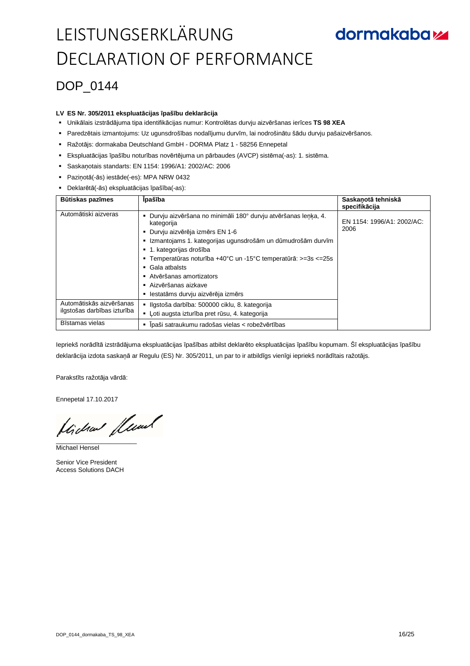### DOP 0144

#### **LV ES Nr. 305/2011 ekspluatācijas īpašību deklarācija**

- Unikālais izstrādājuma tipa identifikācijas numur: Kontrolētas durvju aizvēršanas ierīces **TS 98 XEA**
- Paredzētais izmantojums: Uz ugunsdrošības nodalījumu durvīm, lai nodrošinātu šādu durvju pašaizvēršanos.
- Ražotājs: dormakaba Deutschland GmbH DORMA Platz 1 58256 Ennepetal
- Ekspluatācijas īpašību noturības novērtējuma un pārbaudes (AVCP) sistēma(-as): 1. sistēma.
- Saskaņotais standarts: EN 1154: 1996/A1: 2002/AC: 2006
- Paziņotā(-ās) iestāde(-es): MPA NRW 0432
- Deklarētā(-ās) ekspluatācijas īpašība(-as):

| <b>Būtiskas pazīmes</b>                                 | <b>Ipašība</b>                                                                                                                                                                                                                                                                                                                                                                                             | Saskanotā tehniskā<br>specifikācija |
|---------------------------------------------------------|------------------------------------------------------------------------------------------------------------------------------------------------------------------------------------------------------------------------------------------------------------------------------------------------------------------------------------------------------------------------------------------------------------|-------------------------------------|
| Automātiski aizveras                                    | · Durvju aizvēršana no minimāli 180° durvju atvēršanas leņķa, 4.<br>kategorija<br>• Durvju aizvērēja izmērs EN 1-6<br>" Izmantojams 1. kategorijas ugunsdrošām un dūmudrošām durvīm<br>■ 1. kategorijas drošība<br>Temperatūras noturība +40°C un -15°C temperatūrā: >=3s <=25s<br>$\blacksquare$ Gala atbalsts<br>■ Atvēršanas amortizators<br>■ Aizvēršanas aizkave<br>lestatāms durvju aizvērēja izmērs | EN 1154: 1996/A1: 2002/AC:<br>2006  |
| Automātiskās aizvēršanas<br>ilgstošas darbības izturība | - Ilgstoša darbība: 500000 ciklu, 8. kategorija<br>- Loti augsta izturība pret rūsu, 4. kategorija                                                                                                                                                                                                                                                                                                         |                                     |
| Bīstamas vielas                                         | · Īpaši satraukumu radošas vielas < robežvērtības                                                                                                                                                                                                                                                                                                                                                          |                                     |

Iepriekš norādītā izstrādājuma ekspluatācijas īpašības atbilst deklarēto ekspluatācijas īpašību kopumam. Šī ekspluatācijas īpašību deklarācija izdota saskaņā ar Regulu (ES) Nr. 305/2011, un par to ir atbildīgs vienīgi iepriekš norādītais ražotājs.

Parakstīts ražotāja vārdā:

Ennepetal 17.10.2017

flichen fleund

Michael Hensel

Senior Vice President Access Solutions DACH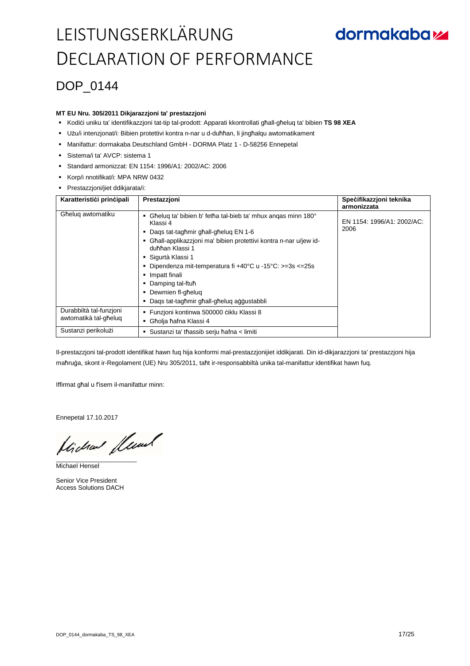## **dormakabazz**

### DOP\_0144

#### **MT EU Nru. 305/2011 Dikjarazzjoni ta' prestazzjoni**

- Kodiċi uniku ta' identifikazzjoni tat-tip tal-prodott: Apparati kkontrollati għall-għeluq ta' bibien **TS 98 XEA**
- Użu/i intenzjonat/i: Bibien protettivi kontra n-nar u d-duħħan, li jingħalqu awtomatikament
- Manifattur: dormakaba Deutschland GmbH DORMA Platz 1 D-58256 Ennepetal
- Sistema/i ta' AVCP: sistema 1
- Standard armonizzat: EN 1154: 1996/A1: 2002/AC: 2006
- Korp/i nnotifikat/i: MPA NRW 0432
- Prestazzjoni/jiet ddikjarata/i:

| Karatteristići prinčipali                        | Prestazzioni                                                                                                                                                                                                 | Specifikazzjoni teknika<br>armonizzata |
|--------------------------------------------------|--------------------------------------------------------------------------------------------------------------------------------------------------------------------------------------------------------------|----------------------------------------|
| Għeluq awtomatiku                                | Ghelug ta' bibien b' fetha tal-bieb ta' mhux angas minn 180°<br>Klassi 4<br>Dags tat-taghmir ghall-ghelug EN 1-6<br>Għall-applikazzjoni ma' bibien protettivi kontra n-nar u/jew id-                         | EN 1154: 1996/A1: 2002/AC:<br>2006     |
|                                                  | duhhan Klassi 1<br>• Sigurtà Klassi 1<br>Dipendenza mit-temperatura fi +40°C u -15°C: >=3s <=25s<br>Impatt finali<br>٠<br>Damping tal-ftuħ<br>Dewmien fl-ghelug<br>Dags tat-tagħmir għall-għelug aġġustabbli |                                        |
| Durabbiltà tal-funzioni<br>awtomatikà tal-għeluq | Funzjoni kontinwa 500000 ciklu Klassi 8<br>٠<br>Gholja hafna Klassi 4                                                                                                                                        |                                        |
| Sustanzi perikolużi                              | Sustanzi ta' thassib serju hafna < limiti<br>٠                                                                                                                                                               |                                        |

Il-prestazzjoni tal-prodott identifikat hawn fuq hija konformi mal-prestazzjonijiet iddikjarati. Din id-dikjarazzjoni ta' prestazzjoni hija maħruġa, skont ir-Regolament (UE) Nru 305/2011, taħt ir-responsabbiltà unika tal-manifattur identifikat hawn fuq.

Iffirmat għal u f'isem il-manifattur minn:

Ennepetal 17.10.2017

flichen fleund

Michael Hensel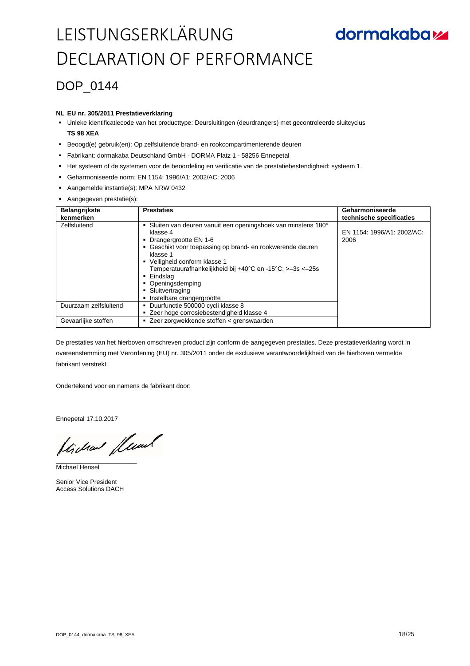## **dormakabazz**

### DOP 0144

#### **NL EU nr. 305/2011 Prestatieverklaring**

- Unieke identificatiecode van het producttype: Deursluitingen (deurdrangers) met gecontroleerde sluitcyclus **TS 98 XEA**
- Beoogd(e) gebruik(en): Op zelfsluitende brand- en rookcompartimenterende deuren
- Fabrikant: dormakaba Deutschland GmbH DORMA Platz 1 58256 Ennepetal
- Het systeem of de systemen voor de beoordeling en verificatie van de prestatiebestendigheid: systeem 1.
- Geharmoniseerde norm: EN 1154: 1996/A1: 2002/AC: 2006
- Aangemelde instantie(s): MPA NRW 0432
- Aangegeven prestatie(s):

| <b>Belangrijkste</b><br>kenmerken | <b>Prestaties</b>                                                                                                                                                                                                                                                                                                                                                          | Geharmoniseerde<br>technische specificaties |
|-----------------------------------|----------------------------------------------------------------------------------------------------------------------------------------------------------------------------------------------------------------------------------------------------------------------------------------------------------------------------------------------------------------------------|---------------------------------------------|
| Zelfsluitend                      | Sluiten van deuren vanuit een openingshoek van minstens 180°<br>٠<br>klasse 4<br>• Drangergrootte EN 1-6<br>• Geschikt voor toepassing op brand- en rookwerende deuren<br>klasse 1<br>• Veiligheid conform klasse 1<br>Temperatuurafhankelijkheid bij +40°C en -15°C: >=3s <=25s<br>• Eindslag<br>• Openingsdemping<br>• Sluitvertraging<br>Instelbare drangergrootte<br>٠ | EN 1154: 1996/A1: 2002/AC:<br>2006          |
| Duurzaam zelfsluitend             | • Duurfunctie 500000 cycli klasse 8<br>" Zeer hoge corrosiebestendigheid klasse 4                                                                                                                                                                                                                                                                                          |                                             |
| Gevaarlijke stoffen               | ■ Zeer zorgwekkende stoffen < grenswaarden                                                                                                                                                                                                                                                                                                                                 |                                             |

De prestaties van het hierboven omschreven product zijn conform de aangegeven prestaties. Deze prestatieverklaring wordt in overeenstemming met Verordening (EU) nr. 305/2011 onder de exclusieve verantwoordelijkheid van de hierboven vermelde fabrikant verstrekt.

Ondertekend voor en namens de fabrikant door:

Ennepetal 17.10.2017

flichen fleund

Michael Hensel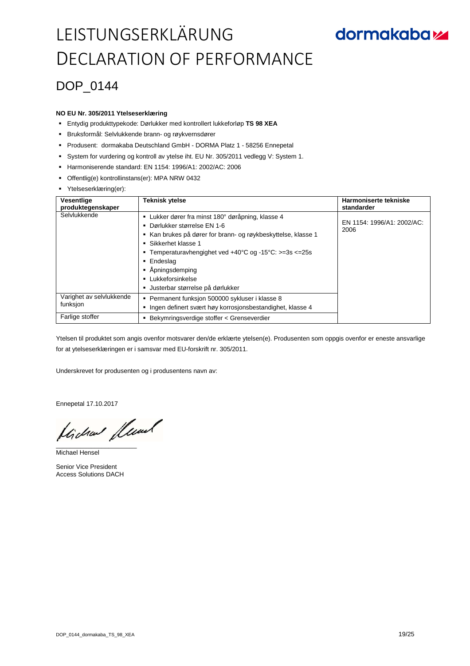## dormakabaz

### DOP 0144

#### **NO EU Nr. 305/2011 Ytelseserklæring**

- Entydig produkttypekode: Dørlukker med kontrollert lukkeforløp **TS 98 XEA**
- Bruksformål: Selvlukkende brann- og røykvernsdører
- Produsent: dormakaba Deutschland GmbH DORMA Platz 1 58256 Ennepetal
- System for vurdering og kontroll av ytelse iht. EU Nr. 305/2011 vedlegg V: System 1.
- Harmoniserende standard: EN 1154: 1996/A1: 2002/AC: 2006
- Offentlig(e) kontrollinstans(er): MPA NRW 0432
- Ytelseserklæring(er):

| Vesentlige<br>produktegenskaper      | Teknisk ytelse                                                                                                                                                                                                                                                                                                                            | Harmoniserte tekniske<br>standarder |
|--------------------------------------|-------------------------------------------------------------------------------------------------------------------------------------------------------------------------------------------------------------------------------------------------------------------------------------------------------------------------------------------|-------------------------------------|
| Selvlukkende                         | • Lukker dører fra minst 180° døråpning, klasse 4<br>• Dørlukker størrelse EN 1-6<br>Kan brukes på dører for brann- og røykbeskyttelse, klasse 1<br>■ Sikkerhet klasse 1<br><b>Temperaturavhengighet ved +40°C og -15°C: &gt;=3s &lt;=25s</b><br>• Endeslag<br>• Apningsdemping<br>• Lukkeforsinkelse<br>Uusterbar størrelse på dørlukker | EN 1154: 1996/A1: 2002/AC:<br>2006  |
| Varighet av selvlukkende<br>funksjon | Permanent funksjon 500000 sykluser i klasse 8<br>• Ingen definert svært høy korrosjonsbestandighet, klasse 4                                                                                                                                                                                                                              |                                     |
| Farlige stoffer                      | Bekymringsverdige stoffer < Grenseverdier<br>٠                                                                                                                                                                                                                                                                                            |                                     |

Ytelsen til produktet som angis ovenfor motsvarer den/de erklærte ytelsen(e). Produsenten som oppgis ovenfor er eneste ansvarlige for at ytelseserklæringen er i samsvar med EU-forskrift nr. 305/2011.

Underskrevet for produsenten og i produsentens navn av:

Ennepetal 17.10.2017

Liden fleund

Michael Hensel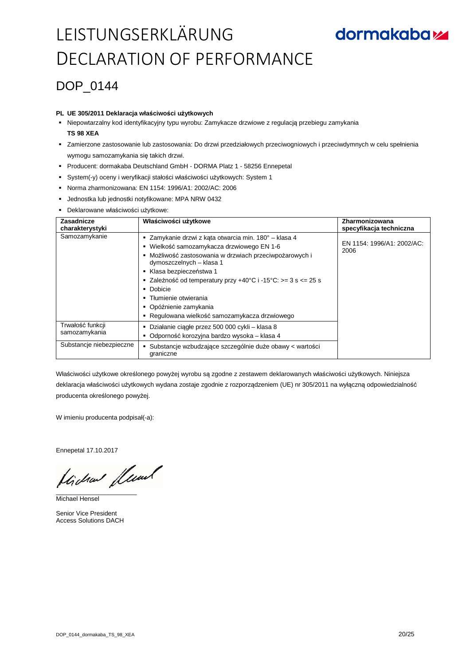### DOP\_0144

#### **PL UE 305/2011 Deklaracja właściwości użytkowych**

- Niepowtarzalny kod identyfikacyjny typu wyrobu: Zamykacze drzwiowe z regulacją przebiegu zamykania **TS 98 XEA**
- Zamierzone zastosowanie lub zastosowania: Do drzwi przedziałowych przeciwogniowych i przeciwdymnych w celu spełnienia wymogu samozamykania się takich drzwi.
- Producent: dormakaba Deutschland GmbH DORMA Platz 1 58256 Ennepetal
- System(-y) oceny i weryfikacji stałości właściwości użytkowych: System 1
- Norma zharmonizowana: EN 1154: 1996/A1: 2002/AC: 2006
- Jednostka lub jednostki notyfikowane: MPA NRW 0432
- Deklarowane właściwości użytkowe:

| Zasadnicze<br>charakterystyki     | Właściwości użytkowe                                                                                                                                                                                                                                                                                                                                                                                           | Zharmonizowana<br>specyfikacja techniczna |
|-----------------------------------|----------------------------------------------------------------------------------------------------------------------------------------------------------------------------------------------------------------------------------------------------------------------------------------------------------------------------------------------------------------------------------------------------------------|-------------------------------------------|
| Samozamykanie                     | " Zamykanie drzwi z kąta otwarcia min. 180° – klasa 4<br>Wielkość samozamykacza drzwiowego EN 1-6<br>٠<br>Możliwość zastosowania w drzwiach przeciwpożarowych i<br>٠<br>dymoszczelnych – klasa 1<br>Klasa bezpieczeństwa 1<br>■ Zależność od temperatury przy +40°C i -15°C: >= 3 s <= 25 s<br>• Dobicie<br>• Tłumienie otwierania<br>• Opóźnienie zamykania<br>• Regulowana wielkość samozamykacza drzwiowego | EN 1154: 1996/A1: 2002/AC:<br>2006        |
| Trwałość funkcji<br>samozamykania | Działanie ciągłe przez 500 000 cykli – klasa 8<br>٠<br>Odporność korozyjna bardzo wysoka – klasa 4                                                                                                                                                                                                                                                                                                             |                                           |
| Substancje niebezpieczne          | • Substancie wzbudzające szczególnie duże obawy < wartości<br>graniczne                                                                                                                                                                                                                                                                                                                                        |                                           |

Właściwości użytkowe określonego powyżej wyrobu są zgodne z zestawem deklarowanych właściwości użytkowych. Niniejsza deklaracja właściwości użytkowych wydana zostaje zgodnie z rozporządzeniem (UE) nr 305/2011 na wyłączną odpowiedzialność producenta określonego powyżej.

W imieniu producenta podpisał(-a):

Ennepetal 17.10.2017

flichen fleund

Michael Hensel

Senior Vice President Access Solutions DACH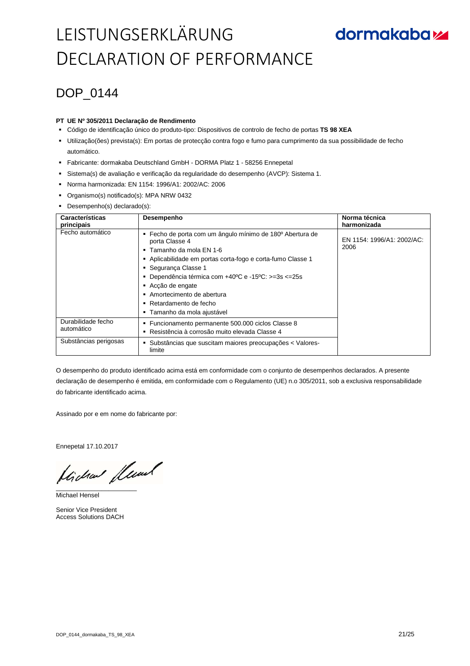## **dormakabazz**

### DOP\_0144

#### **PT UE Nº 305/2011 Declaração de Rendimento**

- Código de identificação único do produto-tipo: Dispositivos de controlo de fecho de portas **TS 98 XEA**
- Utilização(ões) prevista(s): Em portas de protecção contra fogo e fumo para cumprimento da sua possibilidade de fecho automático.
- Fabricante: dormakaba Deutschland GmbH DORMA Platz 1 58256 Ennepetal
- Sistema(s) de avaliação e verificação da regularidade do desempenho (AVCP): Sistema 1.
- Norma harmonizada: EN 1154: 1996/A1: 2002/AC: 2006
- Organismo(s) notificado(s): MPA NRW 0432
- Desempenho(s) declarado(s):

| Características<br>principais | Desempenho                                                                                                                                                                                                                      | Norma técnica<br>harmonizada       |
|-------------------------------|---------------------------------------------------------------------------------------------------------------------------------------------------------------------------------------------------------------------------------|------------------------------------|
| Fecho automático              | - Fecho de porta com um ângulo mínimo de 180º Abertura de<br>porta Classe 4<br>■ Tamanho da mola EN 1-6                                                                                                                         | EN 1154: 1996/A1: 2002/AC:<br>2006 |
|                               | Aplicabilidade em portas corta-fogo e corta-fumo Classe 1<br>• Seguranca Classe 1<br>- Dependência térmica com $+40^{\circ}$ C e -15°C: >=3s <=25s<br>- Acção de engate<br>Amortecimento de abertura<br>■ Retardamento de fecho |                                    |
| Durabilidade fecho            | ■ Tamanho da mola ajustável<br>• Funcionamento permanente 500.000 ciclos Classe 8                                                                                                                                               |                                    |
| automático                    | Resistência à corrosão muito elevada Classe 4<br>٠                                                                                                                                                                              |                                    |
| Substâncias perigosas         | • Substâncias que suscitam maiores preocupações < Valores-<br>limite                                                                                                                                                            |                                    |

O desempenho do produto identificado acima está em conformidade com o conjunto de desempenhos declarados. A presente declaração de desempenho é emitida, em conformidade com o Regulamento (UE) n.o 305/2011, sob a exclusiva responsabilidade do fabricante identificado acima.

Assinado por e em nome do fabricante por:

Ennepetal 17.10.2017

flichen fleund

Michael Hensel

Senior Vice President Access Solutions DACH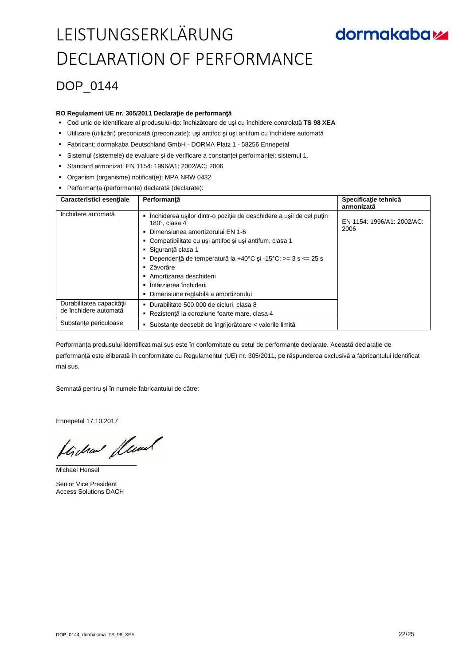### DOP 0144

#### **RO Regulament UE nr. 305/2011 Declaraţie de performanţă**

- Cod unic de identificare al produsului-tip: închizătoare de uşi cu închidere controlată **TS 98 XEA**
- Utilizare (utilizări) preconizată (preconizate): uşi antifoc şi uşi antifum cu închidere automată
- Fabricant: dormakaba Deutschland GmbH DORMA Platz 1 58256 Ennepetal
- Sistemul (sistemele) de evaluare și de verificare a constanței performanței: sistemul 1.
- Standard armonizat: EN 1154: 1996/A1: 2002/AC: 2006
- Organism (organisme) notificat(e): MPA NRW 0432
- Performanța (performanțe) declarată (declarate):

| Caracteristici esentiale                           | Performantă                                                                                                                                                                                                                                                                                                                                                                                             | Specificație tehnică<br>armonizată |
|----------------------------------------------------|---------------------------------------------------------------------------------------------------------------------------------------------------------------------------------------------------------------------------------------------------------------------------------------------------------------------------------------------------------------------------------------------------------|------------------------------------|
| Inchidere automată                                 | Inchiderea usilor dintr-o poziție de deschidere a ușii de cel puțin<br>٠<br>180 $^{\circ}$ . clasa 4<br>Dimensiunea amortizorului EN 1-6<br>• Compatibilitate cu usi antifoc și uși antifum, clasa 1<br>■ Sigurantă clasa 1<br>Dependență de temperatură la +40°C și -15°C: >= 3 s <= 25 s<br>• Zăvorâre<br>Amortizarea deschiderii<br>· Întârzierea închiderii<br>Dimensiune reglabilă a amortizorului | EN 1154: 1996/A1: 2002/AC:<br>2006 |
| Durabilitatea capacității<br>de închidere automată | Durabilitate 500.000 de cicluri, clasa 8<br>٠<br>Rezistență la coroziune foarte mare, clasa 4                                                                                                                                                                                                                                                                                                           |                                    |
| Substante periculoase                              | Substante deosebit de îngrijorătoare < valorile limită                                                                                                                                                                                                                                                                                                                                                  |                                    |

Performanța produsului identificat mai sus este în conformitate cu setul de performanțe declarate. Această declarație de performanță este eliberată în conformitate cu Regulamentul (UE) nr. 305/2011, pe răspunderea exclusivă a fabricantului identificat mai sus.

Semnată pentru și în numele fabricantului de către:

Ennepetal 17.10.2017

Lide fleut

Michael Hensel

Senior Vice President Access Solutions DACH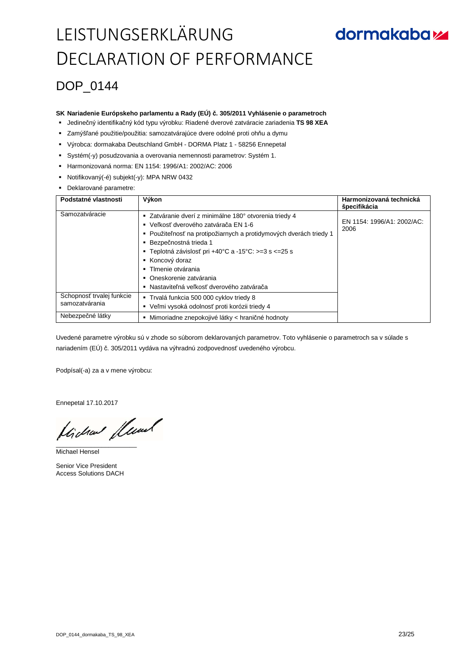## **dormakabazz**

### DOP\_0144

#### **SK Nariadenie Európskeho parlamentu a Rady (EÚ) č. 305/2011 Vyhlásenie o parametroch**

- Jedinečný identifikačný kód typu výrobku: Riadené dverové zatváracie zariadenia **TS 98 XEA**
- Zamýšľané použitie/použitia: samozatvárajúce dvere odolné proti ohňu a dymu
- Výrobca: dormakaba Deutschland GmbH DORMA Platz 1 58256 Ennepetal
- Systém(-y) posudzovania a overovania nemennosti parametrov: Systém 1.
- Harmonizovaná norma: EN 1154: 1996/A1: 2002/AC: 2006
- Notifikovaný(-é) subjekt(-y): MPA NRW 0432
- Deklarované parametre:

| Podstatné vlastnosti                        | Výkon                                                                                                                                                                                                                                                                                                                                                                      | Harmonizovaná technická<br>špecifikácia |
|---------------------------------------------|----------------------------------------------------------------------------------------------------------------------------------------------------------------------------------------------------------------------------------------------------------------------------------------------------------------------------------------------------------------------------|-----------------------------------------|
| Samozatváracie                              | " Zatváranie dverí z minimálne 180° otvorenia triedy 4<br>• Veľkosť dverového zatvárača EN 1-6<br>Použiteľnosť na protipožiarnych a protidymových dverách triedy 1<br>■ Bezpečnostná trieda 1<br>- Teplotná závislosť pri +40°C a -15°C: >=3 s <=25 s<br>■ Koncový doraz<br>• Timenie otvárania<br>Oneskorenie zatvárania<br>Nastaviteľná veľkosť dverového zatvárača<br>٠ | EN 1154: 1996/A1: 2002/AC:<br>2006      |
| Schopnosť trvalej funkcie<br>samozatvárania | ■ Trvalá funkcia 500 000 cyklov triedy 8<br>• Veľmi vysoká odolnosť proti korózii triedy 4                                                                                                                                                                                                                                                                                 |                                         |
| Nebezpečné látky                            | Mimoriadne znepokojivé látky < hraničné hodnoty<br>٠                                                                                                                                                                                                                                                                                                                       |                                         |

Uvedené parametre výrobku sú v zhode so súborom deklarovaných parametrov. Toto vyhlásenie o parametroch sa v súlade s nariadením (EÚ) č. 305/2011 vydáva na výhradnú zodpovednosť uvedeného výrobcu.

Podpísal(-a) za a v mene výrobcu:

Ennepetal 17.10.2017

tida flum

Michael Hensel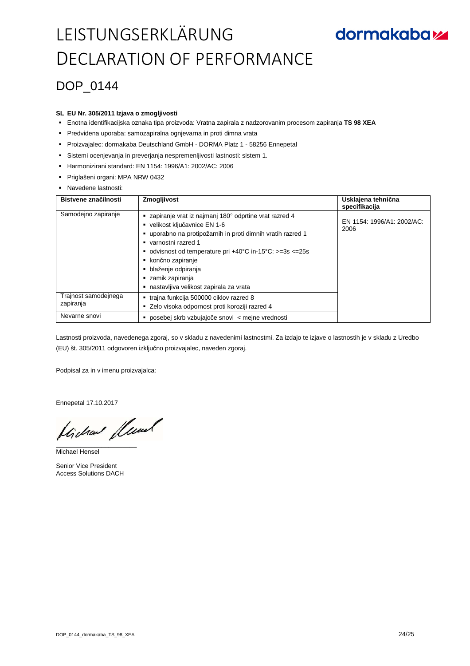### DOP\_0144

#### **SL EU Nr. 305/2011 Izjava o zmogljivosti**

- Enotna identifikacijska oznaka tipa proizvoda: Vratna zapirala z nadzorovanim procesom zapiranja **TS 98 XEA**
- Predvidena uporaba: samozapiralna ognjevarna in proti dimna vrata
- Proizvajalec: dormakaba Deutschland GmbH DORMA Platz 1 58256 Ennepetal
- Sistemi ocenjevanja in preverjanja nespremenljivosti lastnosti: sistem 1.
- Harmonizirani standard: EN 1154: 1996/A1: 2002/AC: 2006
- Priglašeni organi: MPA NRW 0432
- Navedene lastnosti:

| Bistvene značilnosti              | Zmogljivost                                                                                                                                                                                                                                                                                                                                                              | Usklajena tehnična<br>specifikacija |
|-----------------------------------|--------------------------------------------------------------------------------------------------------------------------------------------------------------------------------------------------------------------------------------------------------------------------------------------------------------------------------------------------------------------------|-------------------------------------|
| Samodejno zapiranje               | " zapiranje vrat iz najmanj 180° odprtine vrat razred 4<br>• velikost ključavnice EN 1-6<br>uporabno na protipožarnih in proti dimnih vratih razred 1<br>varnostni razred 1<br>odvisnost od temperature pri +40 $^{\circ}$ C in-15 $^{\circ}$ C: >=3s <=25s<br>• končno zapiranje<br>· blaženje odpiranja<br>" zamik zapiranja<br>nastavljiva velikost zapirala za vrata | EN 1154: 1996/A1: 2002/AC:<br>2006  |
| Trajnost samodejnega<br>zapiranja | ■ traina funkcija 500000 ciklov razred 8<br>· Zelo visoka odpornost proti koroziji razred 4                                                                                                                                                                                                                                                                              |                                     |
| Nevarne snovi                     | posebej skrb vzbujajoče snovi < mejne vrednosti                                                                                                                                                                                                                                                                                                                          |                                     |

Lastnosti proizvoda, navedenega zgoraj, so v skladu z navedenimi lastnostmi. Za izdajo te izjave o lastnostih je v skladu z Uredbo (EU) št. 305/2011 odgovoren izključno proizvajalec, naveden zgoraj.

Podpisal za in v imenu proizvajalca:

Ennepetal 17.10.2017

flichen fleund

Michael Hensel

Senior Vice President Access Solutions DACH